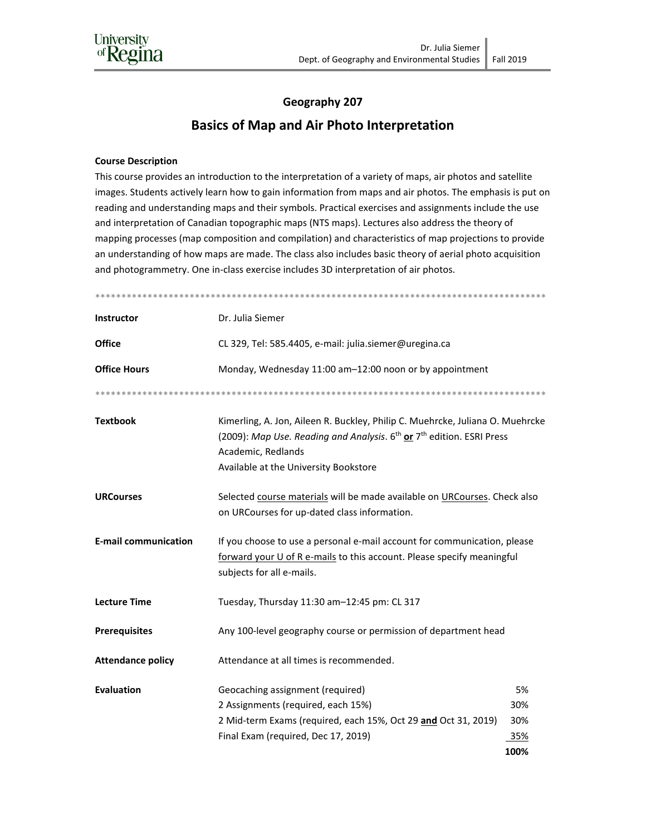

## Geography 207

## **Basics of Map and Air Photo Interpretation**

## **Course Description**

This course provides an introduction to the interpretation of a variety of maps, air photos and satellite images. Students actively learn how to gain information from maps and air photos. The emphasis is put on reading and understanding maps and their symbols. Practical exercises and assignments include the use and interpretation of Canadian topographic maps (NTS maps). Lectures also address the theory of mapping processes (map composition and compilation) and characteristics of map projections to provide an understanding of how maps are made. The class also includes basic theory of aerial photo acquisition and photogrammetry. One in-class exercise includes 3D interpretation of air photos.

| Instructor                  | Dr. Julia Siemer                                                                                                                                                                                                                              |                                 |  |
|-----------------------------|-----------------------------------------------------------------------------------------------------------------------------------------------------------------------------------------------------------------------------------------------|---------------------------------|--|
| <b>Office</b>               | CL 329, Tel: 585.4405, e-mail: julia.siemer@uregina.ca                                                                                                                                                                                        |                                 |  |
| <b>Office Hours</b>         | Monday, Wednesday 11:00 am-12:00 noon or by appointment                                                                                                                                                                                       |                                 |  |
|                             |                                                                                                                                                                                                                                               |                                 |  |
| <b>Textbook</b>             | Kimerling, A. Jon, Aileen R. Buckley, Philip C. Muehrcke, Juliana O. Muehrcke<br>(2009): Map Use. Reading and Analysis. 6 <sup>th</sup> or 7 <sup>th</sup> edition. ESRI Press<br>Academic, Redlands<br>Available at the University Bookstore |                                 |  |
| <b>URCourses</b>            | Selected course materials will be made available on URCourses. Check also<br>on URCourses for up-dated class information.                                                                                                                     |                                 |  |
| <b>E-mail communication</b> | If you choose to use a personal e-mail account for communication, please<br>forward your U of R e-mails to this account. Please specify meaningful<br>subjects for all e-mails.                                                               |                                 |  |
| <b>Lecture Time</b>         | Tuesday, Thursday 11:30 am-12:45 pm: CL 317                                                                                                                                                                                                   |                                 |  |
| <b>Prerequisites</b>        | Any 100-level geography course or permission of department head                                                                                                                                                                               |                                 |  |
| <b>Attendance policy</b>    | Attendance at all times is recommended.                                                                                                                                                                                                       |                                 |  |
| <b>Evaluation</b>           | Geocaching assignment (required)<br>2 Assignments (required, each 15%)<br>2 Mid-term Exams (required, each 15%, Oct 29 and Oct 31, 2019)<br>Final Exam (required, Dec 17, 2019)                                                               | 5%<br>30%<br>30%<br>35%<br>100% |  |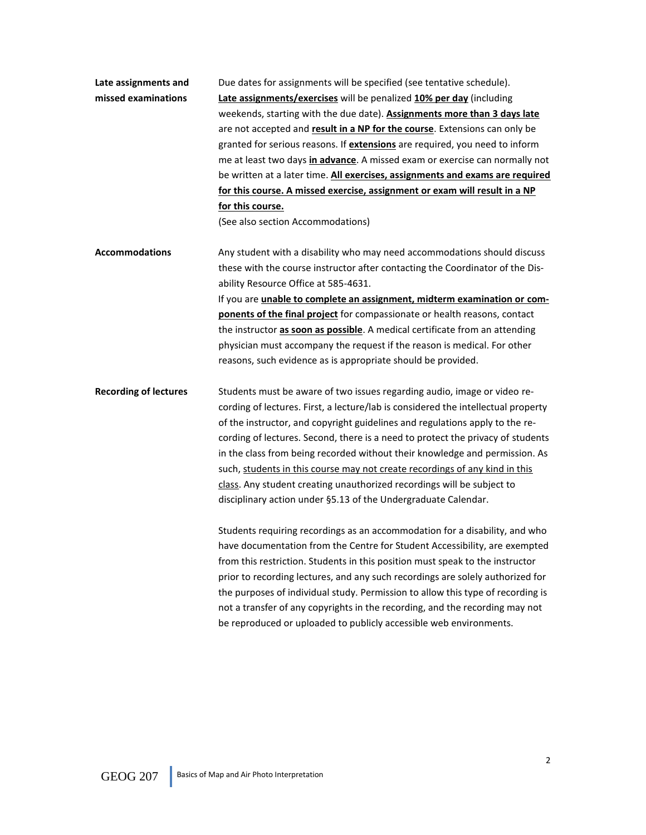Late assignments and **Due dates for assignments will be specified (see tentative schedule). missed examinations Late assignments/exercises** will be penalized **10% per day** (including weekends, starting with the due date). **Assignments more than 3 days late** are not accepted and **result in a NP for the course**. Extensions can only be granted for serious reasons. If **extensions** are required, you need to inform me at least two days **in advance**. A missed exam or exercise can normally not be written at a later time. **All exercises, assignments and exams are required for this course. A missed exercise, assignment or exam will result in a NP for this course.** (See also section Accommodations) **Accommodations** Any student with a disability who may need accommodations should discuss

> these with the course instructor after contacting the Coordinator of the Disability Resource Office at 585-4631. If you are **unable to complete an assignment, midterm examination or components of the final project** for compassionate or health reasons, contact the instructor **as soon as possible**. A medical certificate from an attending physician must accompany the request if the reason is medical. For other reasons, such evidence as is appropriate should be provided.

**Recording of lectures** Students must be aware of two issues regarding audio, image or video recording of lectures. First, a lecture/lab is considered the intellectual property of the instructor, and copyright guidelines and regulations apply to the recording of lectures. Second, there is a need to protect the privacy of students in the class from being recorded without their knowledge and permission. As such, students in this course may not create recordings of any kind in this class. Any student creating unauthorized recordings will be subject to disciplinary action under §5.13 of the Undergraduate Calendar.

> Students requiring recordings as an accommodation for a disability, and who have documentation from the Centre for Student Accessibility, are exempted from this restriction. Students in this position must speak to the instructor prior to recording lectures, and any such recordings are solely authorized for the purposes of individual study. Permission to allow this type of recording is not a transfer of any copyrights in the recording, and the recording may not be reproduced or uploaded to publicly accessible web environments.